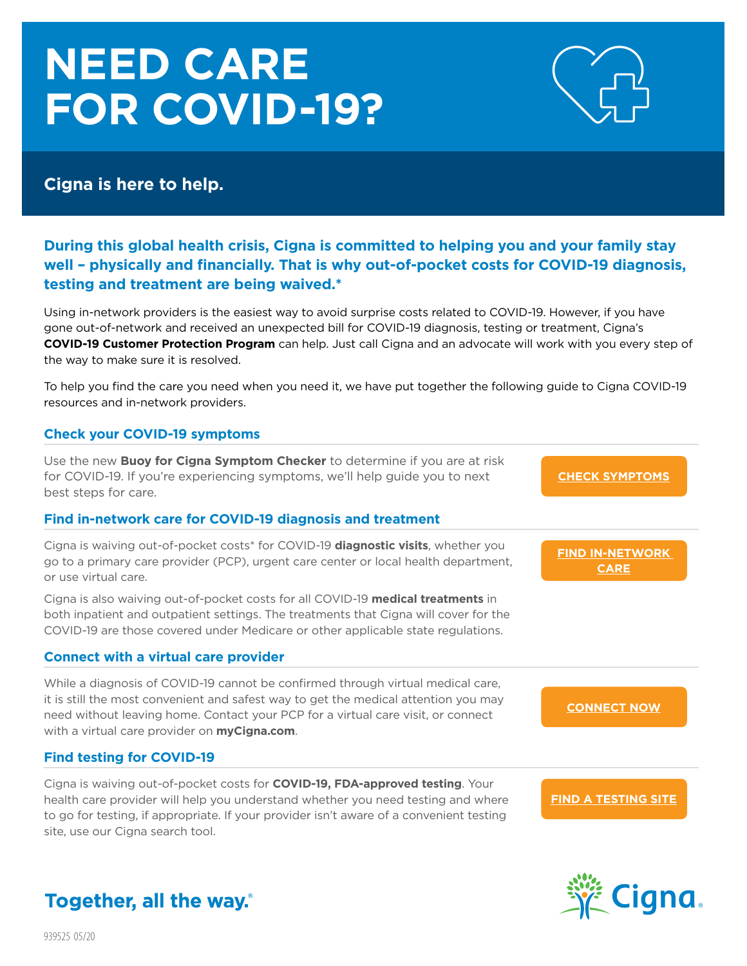# **NEED CARE FOR COVID-19?**



## **Cigna is here to help.**

### **During this global health crisis, Cigna is committed to helping you and your family stay well – physically and financially. That is why out-of-pocket costs for COVID-19 diagnosis, testing and treatment are being waived.\***

Using in-network providers is the easiest way to avoid surprise costs related to COVID-19. However, if you have gone out-of-network and received an unexpected bill for COVID-19 diagnosis, testing or treatment, Cigna's **COVID-19 Customer Protection Program** can help. Just call Cigna and an advocate will work with you every step of the way to make sure it is resolved.

To help you find the care you need when you need it, we have put together the following guide to Cigna COVID-19 resources and in-network providers.

#### **Check your COVID-19 symptoms**

Use the new **Buoy for Cigna Symptom Checker** to determine if you are at risk for COVID-19. If you're experiencing symptoms, we'll help guide you to next best steps for care.

#### **Find in-network care for COVID-19 diagnosis and treatment**

Cigna is waiving out-of-pocket costs\* for COVID-19 **diagnostic visits**, whether you go to a primary care provider (PCP), urgent care center or local health department, or use virtual care.

Cigna is also waiving out-of-pocket costs for all COVID-19 **medical treatments** in both inpatient and outpatient settings. The treatments that Cigna will cover for the COVID-19 are those covered under Medicare or other applicable state regulations.

#### **Connect with a virtual care provider**

While a diagnosis of COVID-19 cannot be confirmed through virtual medical care, it is still the most convenient and safest way to get the medical attention you may need without leaving home. Contact your PCP for a virtual care visit, or connect with a virtual care provider on **myCigna.com**.

#### **Find testing for COVID-19**

Cigna is waiving out-of-pocket costs for **COVID-19, FDA-approved testing**. Your health care provider will help you understand whether you need testing and where to go for testing, if appropriate. If your provider isn't aware of a convenient testing site, use our Cigna search tool.

#### **[CHECK SYMPTOMS](https://www.cigna.com/coronavirus/#0)**

**[FIND IN-NETWORK](https://my.cigna.com/web/secure/consumer/directory)  CARE**

**[CONNECT NOW](https://my.cigna.com/web/secure/consumer/directory/telehealth)**

**[FIND A TESTING SITE](https://hcpdirectory.cigna.com/web/public/consumer/directory/covid-testing-sites)**



# Together, all the way.

939525 05/20